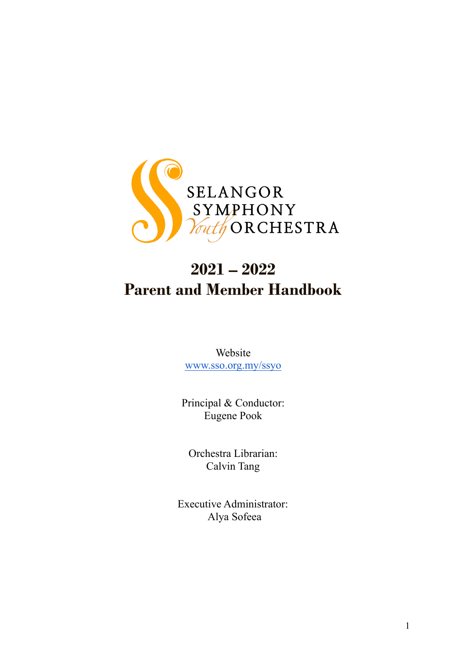

# **2021 – 2022 Parent and Member Handbook**

Website [www.sso.org.my/ssyo](http://www.sso.org.my/academy)

Principal & Conductor: Eugene Pook

Orchestra Librarian: Calvin Tang

Executive Administrator: Alya Sofeea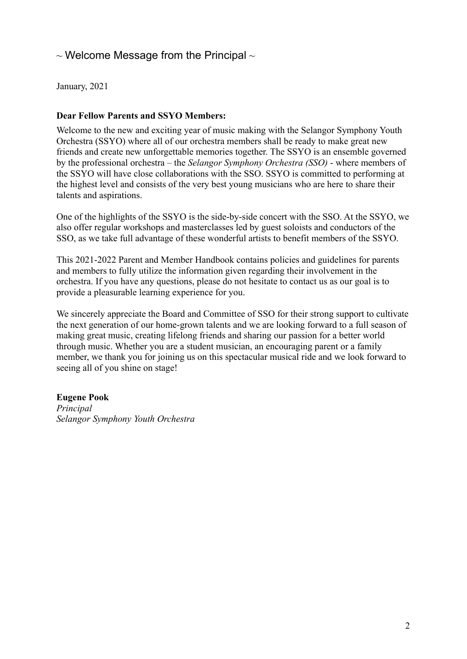# $\sim$  Welcome Message from the Principal  $\sim$

January, 2021

#### **Dear Fellow Parents and SSYO Members:**

Welcome to the new and exciting year of music making with the Selangor Symphony Youth Orchestra (SSYO) where all of our orchestra members shall be ready to make great new friends and create new unforgettable memories together. The SSYO is an ensemble governed by the professional orchestra – the *Selangor Symphony Orchestra (SSO)* - where members of the SSYO will have close collaborations with the SSO. SSYO is committed to performing at the highest level and consists of the very best young musicians who are here to share their talents and aspirations.

One of the highlights of the SSYO is the side-by-side concert with the SSO. At the SSYO, we also offer regular workshops and masterclasses led by guest soloists and conductors of the SSO, as we take full advantage of these wonderful artists to benefit members of the SSYO.

This 2021-2022 Parent and Member Handbook contains policies and guidelines for parents and members to fully utilize the information given regarding their involvement in the orchestra. If you have any questions, please do not hesitate to contact us as our goal is to provide a pleasurable learning experience for you.

We sincerely appreciate the Board and Committee of SSO for their strong support to cultivate the next generation of our home-grown talents and we are looking forward to a full season of making great music, creating lifelong friends and sharing our passion for a better world through music. Whether you are a student musician, an encouraging parent or a family member, we thank you for joining us on this spectacular musical ride and we look forward to seeing all of you shine on stage!

#### **Eugene Pook**

*Principal Selangor Symphony Youth Orchestra*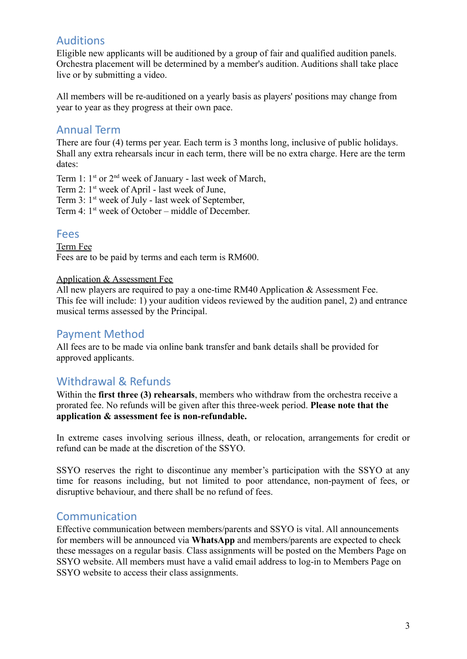# Auditions

Eligible new applicants will be auditioned by a group of fair and qualified audition panels. Orchestra placement will be determined by a member's audition. Auditions shall take place live or by submitting a video.

All members will be re-auditioned on a yearly basis as players' positions may change from year to year as they progress at their own pace.

### Annual Term

There are four (4) terms per year. Each term is 3 months long, inclusive of public holidays. Shall any extra rehearsals incur in each term, there will be no extra charge. Here are the term dates:

Term 1:  $1^{st}$  or  $2^{nd}$  week of January - last week of March,

Term 2: 1<sup>st</sup> week of April - last week of June,

Term 3: 1<sup>st</sup> week of July - last week of September,

Term 4: 1<sup>st</sup> week of October – middle of December

### Fees

Term Fee Fees are to be paid by terms and each term is RM600.

#### Application & Assessment Fee

All new players are required to pay a one-time RM40 Application & Assessment Fee. This fee will include: 1) your audition videos reviewed by the audition panel, 2) and entrance musical terms assessed by the Principal.

### Payment Method

All fees are to be made via online bank transfer and bank details shall be provided for approved applicants.

# Withdrawal & Refunds

Within the **first three (3) rehearsals**, members who withdraw from the orchestra receive a prorated fee. No refunds will be given after this three-week period. **Please note that the application & assessment fee is non-refundable.**

In extreme cases involving serious illness, death, or relocation, arrangements for credit or refund can be made at the discretion of the SSYO.

SSYO reserves the right to discontinue any member's participation with the SSYO at any time for reasons including, but not limited to poor attendance, non-payment of fees, or disruptive behaviour, and there shall be no refund of fees.

### Communication

Effective communication between members/parents and SSYO is vital. All announcements for members will be announced via **WhatsApp** and members/parents are expected to check these messages on a regular basis. Class assignments will be posted on the Members Page on SSYO website. All members must have a valid email address to log-in to Members Page on SSYO website to access their class assignments.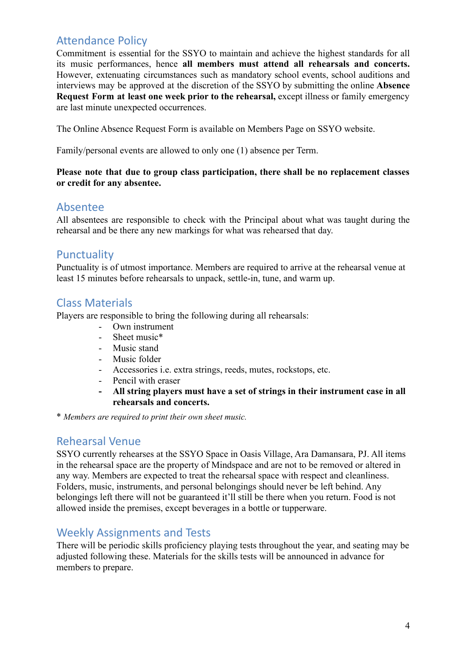# Attendance Policy

Commitment is essential for the SSYO to maintain and achieve the highest standards for all its music performances, hence **all members must attend all rehearsals and concerts.** However, extenuating circumstances such as mandatory school events, school auditions and interviews may be approved at the discretion of the SSYO by submitting the online **Absence Request Form at least one week prior to the rehearsal,** except illness or family emergency are last minute unexpected occurrences.

The Online Absence Request Form is available on Members Page on SSYO website.

Family/personal events are allowed to only one (1) absence per Term.

#### **Please note that due to group class participation, there shall be no replacement classes or credit for any absentee.**

### Absentee

All absentees are responsible to check with the Principal about what was taught during the rehearsal and be there any new markings for what was rehearsed that day.

### **Punctuality**

Punctuality is of utmost importance. Members are required to arrive at the rehearsal venue at least 15 minutes before rehearsals to unpack, settle-in, tune, and warm up.

### Class Materials

Players are responsible to bring the following during all rehearsals:

- Own instrument
- Sheet music<sup>\*</sup>
- Music stand
- Music folder
- Accessories i.e. extra strings, reeds, mutes, rockstops, etc.
- Pencil with eraser
- **- All string players must have a set of strings in their instrument case in all rehearsals and concerts.**

\* *Members are required to print their own sheet music.*

### Rehearsal Venue

SSYO currently rehearses at the SSYO Space in Oasis Village, Ara Damansara, PJ. All items in the rehearsal space are the property of Mindspace and are not to be removed or altered in any way. Members are expected to treat the rehearsal space with respect and cleanliness. Folders, music, instruments, and personal belongings should never be left behind. Any belongings left there will not be guaranteed it'll still be there when you return. Food is not allowed inside the premises, except beverages in a bottle or tupperware.

### Weekly Assignments and Tests

There will be periodic skills proficiency playing tests throughout the year, and seating may be adjusted following these. Materials for the skills tests will be announced in advance for members to prepare.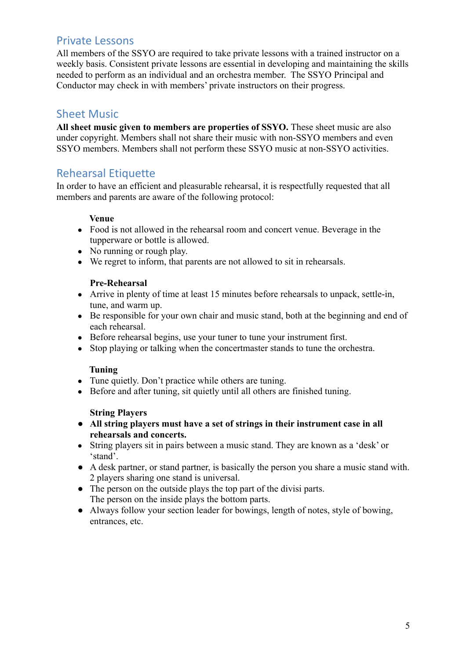### Private Lessons

All members of the SSYO are required to take private lessons with a trained instructor on a weekly basis. Consistent private lessons are essential in developing and maintaining the skills needed to perform as an individual and an orchestra member. The SSYO Principal and Conductor may check in with members' private instructors on their progress.

# Sheet Music

**All sheet music given to members are properties of SSYO.** These sheet music are also under copyright. Members shall not share their music with non-SSYO members and even SSYO members. Members shall not perform these SSYO music at non-SSYO activities.

# Rehearsal Etiquette

In order to have an efficient and pleasurable rehearsal, it is respectfully requested that all members and parents are aware of the following protocol:

#### **Venue**

- Food is not allowed in the rehearsal room and concert venue. Beverage in the tupperware or bottle is allowed.
- No running or rough play.
- We regret to inform, that parents are not allowed to sit in rehearsals.

#### **Pre-Rehearsal**

- Arrive in plenty of time at least 15 minutes before rehearsals to unpack, settle-in, tune, and warm up.
- Be responsible for your own chair and music stand, both at the beginning and end of each rehearsal.
- Before rehearsal begins, use your tuner to tune your instrument first.
- Stop playing or talking when the concertmaster stands to tune the orchestra.

#### **Tuning**

- Tune quietly. Don't practice while others are tuning.
- Before and after tuning, sit quietly until all others are finished tuning.

#### **String Players**

- **● All string players must have a set of strings in their instrument case in all rehearsals and concerts.**
- String players sit in pairs between a music stand. They are known as a 'desk' or 'stand'.
- A desk partner, or stand partner, is basically the person you share a music stand with. 2 players sharing one stand is universal.
- The person on the outside plays the top part of the divisi parts. The person on the inside plays the bottom parts.
- Always follow your section leader for bowings, length of notes, style of bowing, entrances, etc.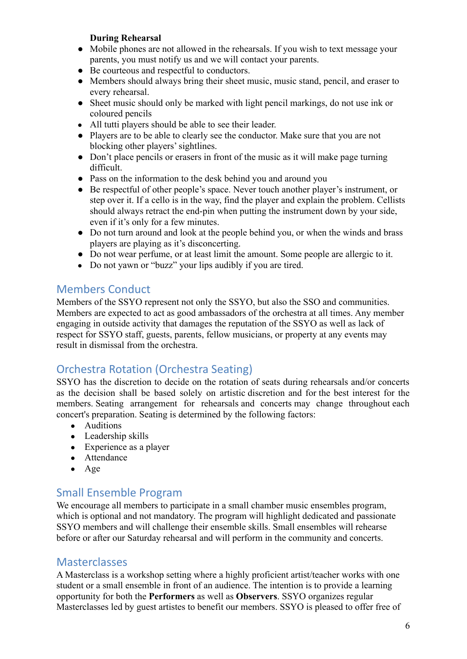#### **During Rehearsal**

- Mobile phones are not allowed in the rehearsals. If you wish to text message your parents, you must notify us and we will contact your parents.
- Be courteous and respectful to conductors.
- Members should always bring their sheet music, music stand, pencil, and eraser to every rehearsal.
- Sheet music should only be marked with light pencil markings, do not use ink or coloured pencils
- All tutti players should be able to see their leader.
- Players are to be able to clearly see the conductor. Make sure that you are not blocking other players' sightlines.
- Don't place pencils or erasers in front of the music as it will make page turning difficult.
- Pass on the information to the desk behind you and around you
- Be respectful of other people's space. Never touch another player's instrument, or step over it. If a cello is in the way, find the player and explain the problem. Cellists should always retract the end-pin when putting the instrument down by your side, even if it's only for a few minutes.
- Do not turn around and look at the people behind you, or when the winds and brass players are playing as it's disconcerting.
- Do not wear perfume, or at least limit the amount. Some people are allergic to it.
- Do not yawn or "buzz" your lips audibly if you are tired.

### Members Conduct

Members of the SSYO represent not only the SSYO, but also the SSO and communities. Members are expected to act as good ambassadors of the orchestra at all times. Any member engaging in outside activity that damages the reputation of the SSYO as well as lack of respect for SSYO staff, guests, parents, fellow musicians, or property at any events may result in dismissal from the orchestra.

# Orchestra Rotation (Orchestra Seating)

SSYO has the discretion to decide on the rotation of seats during rehearsals and/or concerts as the decision shall be based solely on artistic discretion and for the best interest for the members. Seating arrangement for rehearsals and concerts may change throughout each concert's preparation. Seating is determined by the following factors:

- Auditions
- Leadership skills
- $\bullet$  Experience as a player
- Attendance
- Age

# Small Ensemble Program

We encourage all members to participate in a small chamber music ensembles program. which is optional and not mandatory. The program will highlight dedicated and passionate SSYO members and will challenge their ensemble skills. Small ensembles will rehearse before or after our Saturday rehearsal and will perform in the community and concerts.

### **Masterclasses**

A Masterclass is a workshop setting where a highly proficient artist/teacher works with one student or a small ensemble in front of an audience. The intention is to provide a learning opportunity for both the **Performers** as well as **Observers**. SSYO organizes regular Masterclasses led by guest artistes to benefit our members. SSYO is pleased to offer free of